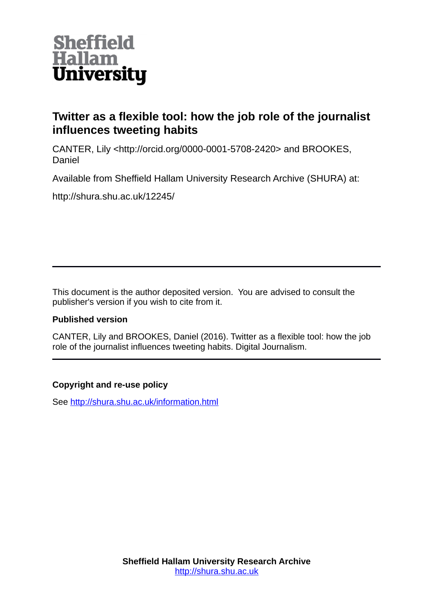

# **Twitter as a flexible tool: how the job role of the journalist influences tweeting habits**

CANTER, Lily <http://orcid.org/0000-0001-5708-2420> and BROOKES, Daniel

Available from Sheffield Hallam University Research Archive (SHURA) at:

http://shura.shu.ac.uk/12245/

This document is the author deposited version. You are advised to consult the publisher's version if you wish to cite from it.

#### **Published version**

CANTER, Lily and BROOKES, Daniel (2016). Twitter as a flexible tool: how the job role of the journalist influences tweeting habits. Digital Journalism.

#### **Copyright and re-use policy**

See<http://shura.shu.ac.uk/information.html>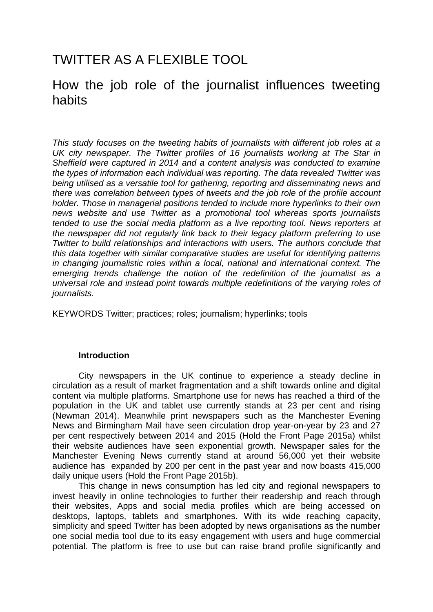# TWITTER AS A FLEXIBLE TOOL

# How the job role of the journalist influences tweeting habits

*This study focuses on the tweeting habits of journalists with different job roles at a UK city newspaper. The Twitter profiles of 16 journalists working at The Star in Sheffield were captured in 2014 and a content analysis was conducted to examine the types of information each individual was reporting. The data revealed Twitter was being utilised as a versatile tool for gathering, reporting and disseminating news and there was correlation between types of tweets and the job role of the profile account holder. Those in managerial positions tended to include more hyperlinks to their own news website and use Twitter as a promotional tool whereas sports journalists tended to use the social media platform as a live reporting tool. News reporters at the newspaper did not regularly link back to their legacy platform preferring to use Twitter to build relationships and interactions with users. The authors conclude that this data together with similar comparative studies are useful for identifying patterns in changing journalistic roles within a local, national and international context. The emerging trends challenge the notion of the redefinition of the journalist as a universal role and instead point towards multiple redefinitions of the varying roles of journalists.* 

KEYWORDS Twitter; practices; roles; journalism; hyperlinks; tools

#### **Introduction**

City newspapers in the UK continue to experience a steady decline in circulation as a result of market fragmentation and a shift towards online and digital content via multiple platforms. Smartphone use for news has reached a third of the population in the UK and tablet use currently stands at 23 per cent and rising (Newman 2014). Meanwhile print newspapers such as the Manchester Evening News and Birmingham Mail have seen circulation drop year-on-year by 23 and 27 per cent respectively between 2014 and 2015 (Hold the Front Page 2015a) whilst their website audiences have seen exponential growth. Newspaper sales for the Manchester Evening News currently stand at around 56,000 yet their website audience has expanded by 200 per cent in the past year and now boasts 415,000 daily unique users (Hold the Front Page 2015b).

This change in news consumption has led city and regional newspapers to invest heavily in online technologies to further their readership and reach through their websites, Apps and social media profiles which are being accessed on desktops, laptops, tablets and smartphones. With its wide reaching capacity, simplicity and speed Twitter has been adopted by news organisations as the number one social media tool due to its easy engagement with users and huge commercial potential. The platform is free to use but can raise brand profile significantly and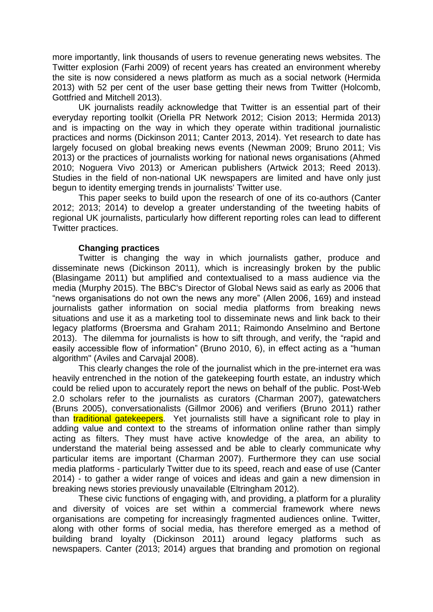more importantly, link thousands of users to revenue generating news websites. The Twitter explosion (Farhi 2009) of recent years has created an environment whereby the site is now considered a news platform as much as a social network (Hermida 2013) with 52 per cent of the user base getting their news from Twitter (Holcomb, Gottfried and Mitchell 2013).

UK journalists readily acknowledge that Twitter is an essential part of their everyday reporting toolkit (Oriella PR Network 2012; Cision 2013; Hermida 2013) and is impacting on the way in which they operate within traditional journalistic practices and norms (Dickinson 2011; Canter 2013, 2014). Yet research to date has largely focused on global breaking news events (Newman 2009; Bruno 2011; Vis 2013) or the practices of journalists working for national news organisations (Ahmed 2010; Noguera Vivo 2013) or American publishers (Artwick 2013; Reed 2013). Studies in the field of non-national UK newspapers are limited and have only just begun to identity emerging trends in journalists' Twitter use.

This paper seeks to build upon the research of one of its co-authors (Canter 2012; 2013; 2014) to develop a greater understanding of the tweeting habits of regional UK journalists, particularly how different reporting roles can lead to different Twitter practices.

#### **Changing practices**

Twitter is changing the way in which journalists gather, produce and disseminate news (Dickinson 2011), which is increasingly broken by the public (Blasingame 2011) but amplified and contextualised to a mass audience via the media (Murphy 2015). The BBC's Director of Global News said as early as 2006 that "news organisations do not own the news any more" (Allen 2006, 169) and instead journalists gather information on social media platforms from breaking news situations and use it as a marketing tool to disseminate news and link back to their legacy platforms (Broersma and Graham 2011; Raimondo Anselmino and Bertone 2013). The dilemma for journalists is how to sift through, and verify, the "rapid and easily accessible flow of information" (Bruno 2010, 6), in effect acting as a "human algorithm" (Aviles and Carvajal 2008).

This clearly changes the role of the journalist which in the pre-internet era was heavily entrenched in the notion of the gatekeeping fourth estate, an industry which could be relied upon to accurately report the news on behalf of the public. Post-Web 2.0 scholars refer to the journalists as curators (Charman 2007), gatewatchers (Bruns 2005), conversationalists (Gillmor 2006) and verifiers (Bruno 2011) rather than traditional gatekeepers. Yet journalists still have a significant role to play in adding value and context to the streams of information online rather than simply acting as filters. They must have active knowledge of the area, an ability to understand the material being assessed and be able to clearly communicate why particular items are important (Charman 2007). Furthermore they can use social media platforms - particularly Twitter due to its speed, reach and ease of use (Canter 2014) - to gather a wider range of voices and ideas and gain a new dimension in breaking news stories previously unavailable (Eltringham 2012).

These civic functions of engaging with, and providing, a platform for a plurality and diversity of voices are set within a commercial framework where news organisations are competing for increasingly fragmented audiences online. Twitter, along with other forms of social media, has therefore emerged as a method of building brand loyalty (Dickinson 2011) around legacy platforms such as newspapers. Canter (2013; 2014) argues that branding and promotion on regional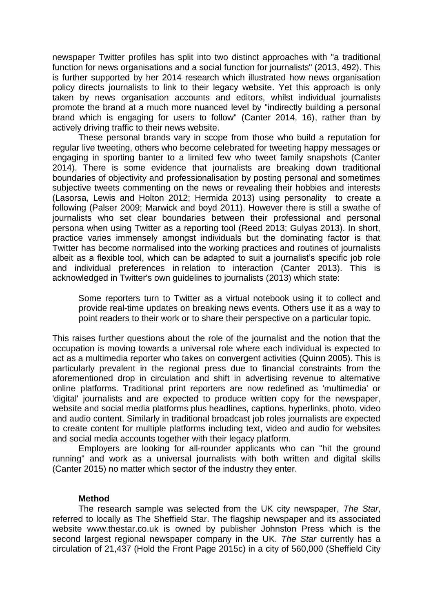newspaper Twitter profiles has split into two distinct approaches with "a traditional function for news organisations and a social function for journalists" (2013, 492). This is further supported by her 2014 research which illustrated how news organisation policy directs journalists to link to their legacy website. Yet this approach is only taken by news organisation accounts and editors, whilst individual journalists promote the brand at a much more nuanced level by "indirectly building a personal brand which is engaging for users to follow" (Canter 2014, 16), rather than by actively driving traffic to their news website.

These personal brands vary in scope from those who build a reputation for regular live tweeting, others who become celebrated for tweeting happy messages or engaging in sporting banter to a limited few who tweet family snapshots (Canter 2014). There is some evidence that journalists are breaking down traditional boundaries of objectivity and professionalisation by posting personal and sometimes subjective tweets commenting on the news or revealing their hobbies and interests (Lasorsa, Lewis and Holton 2012; Hermida 2013) using personality to create a following (Palser 2009; Marwick and boyd 2011). However there is still a swathe of journalists who set clear boundaries between their professional and personal persona when using Twitter as a reporting tool (Reed 2013; Gulyas 2013). In short, practice varies immensely amongst individuals but the dominating factor is that Twitter has become normalised into the working practices and routines of journalists albeit as a flexible tool, which can be adapted to suit a journalist's specific job role and individual preferences in relation to interaction (Canter 2013). This is acknowledged in Twitter's own guidelines to journalists (2013) which state:

Some reporters turn to Twitter as a virtual notebook using it to collect and provide real-time updates on breaking news events. Others use it as a way to point readers to their work or to share their perspective on a particular topic.

This raises further questions about the role of the journalist and the notion that the occupation is moving towards a universal role where each individual is expected to act as a multimedia reporter who takes on convergent activities (Quinn 2005). This is particularly prevalent in the regional press due to financial constraints from the aforementioned drop in circulation and shift in advertising revenue to alternative online platforms. Traditional print reporters are now redefined as 'multimedia' or 'digital' journalists and are expected to produce written copy for the newspaper, website and social media platforms plus headlines, captions, hyperlinks, photo, video and audio content. Similarly in traditional broadcast job roles journalists are expected to create content for multiple platforms including text, video and audio for websites and social media accounts together with their legacy platform.

Employers are looking for all-rounder applicants who can "hit the ground running" and work as a universal journalists with both written and digital skills (Canter 2015) no matter which sector of the industry they enter.

#### **Method**

The research sample was selected from the UK city newspaper, *The Star*, referred to locally as The Sheffield Star. The flagship newspaper and its associated website www.thestar.co.uk is owned by publisher Johnston Press which is the second largest regional newspaper company in the UK. *The Star* currently has a circulation of 21,437 (Hold the Front Page 2015c) in a city of 560,000 (Sheffield City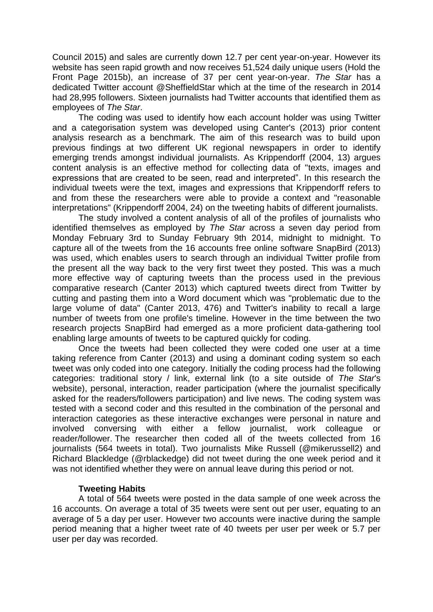Council 2015) and sales are currently down 12.7 per cent year-on-year. However its website has seen rapid growth and now receives 51,524 daily unique users (Hold the Front Page 2015b), an increase of 37 per cent year-on-year. *The Star* has a dedicated Twitter account @SheffieldStar which at the time of the research in 2014 had 28,995 followers. Sixteen journalists had Twitter accounts that identified them as employees of *The Star*.

The coding was used to identify how each account holder was using Twitter and a categorisation system was developed using Canter's (2013) prior content analysis research as a benchmark. The aim of this research was to build upon previous findings at two different UK regional newspapers in order to identify emerging trends amongst individual journalists. As Krippendorff (2004, 13) argues content analysis is an effective method for collecting data of "texts, images and expressions that are created to be seen, read and interpreted". In this research the individual tweets were the text, images and expressions that Krippendorff refers to and from these the researchers were able to provide a context and "reasonable interpretations" (Krippendorff 2004, 24) on the tweeting habits of different journalists.

The study involved a content analysis of all of the profiles of journalists who identified themselves as employed by *The Star* across a seven day period from Monday February 3rd to Sunday February 9th 2014, midnight to midnight. To capture all of the tweets from the 16 accounts free online software SnapBird (2013) was used, which enables users to search through an individual Twitter profile from the present all the way back to the very first tweet they posted. This was a much more effective way of capturing tweets than the process used in the previous comparative research (Canter 2013) which captured tweets direct from Twitter by cutting and pasting them into a Word document which was "problematic due to the large volume of data" (Canter 2013, 476) and Twitter's inability to recall a large number of tweets from one profile's timeline. However in the time between the two research projects SnapBird had emerged as a more proficient data-gathering tool enabling large amounts of tweets to be captured quickly for coding.

Once the tweets had been collected they were coded one user at a time taking reference from Canter (2013) and using a dominant coding system so each tweet was only coded into one category. Initially the coding process had the following categories: traditional story / link, external link (to a site outside of *The Star*'s website), personal, interaction, reader participation (where the journalist specifically asked for the readers/followers participation) and live news. The coding system was tested with a second coder and this resulted in the combination of the personal and interaction categories as these interactive exchanges were personal in nature and involved conversing with either a fellow journalist, work colleague or reader/follower. The researcher then coded all of the tweets collected from 16 journalists (564 tweets in total). Two journalists Mike Russell (@mikerussell2) and Richard Blackledge (@rblackedge) did not tweet during the one week period and it was not identified whether they were on annual leave during this period or not.

#### **Tweeting Habits**

A total of 564 tweets were posted in the data sample of one week across the 16 accounts. On average a total of 35 tweets were sent out per user, equating to an average of 5 a day per user. However two accounts were inactive during the sample period meaning that a higher tweet rate of 40 tweets per user per week or 5.7 per user per day was recorded.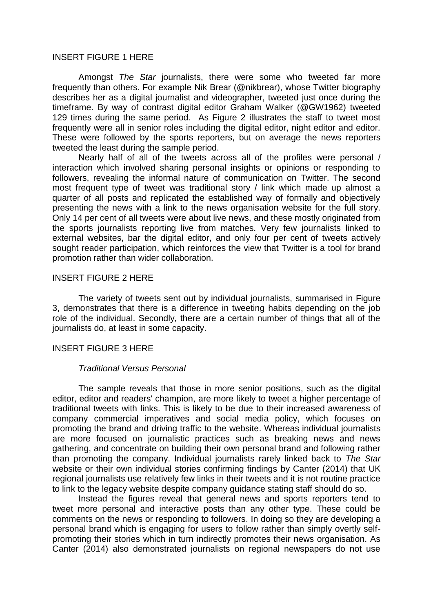#### INSERT FIGURE 1 HERE

Amongst *The Star* journalists, there were some who tweeted far more frequently than others. For example Nik Brear (@nikbrear), whose Twitter biography describes her as a digital journalist and videographer, tweeted just once during the timeframe. By way of contrast digital editor Graham Walker (@GW1962) tweeted 129 times during the same period. As Figure 2 illustrates the staff to tweet most frequently were all in senior roles including the digital editor, night editor and editor. These were followed by the sports reporters, but on average the news reporters tweeted the least during the sample period.

Nearly half of all of the tweets across all of the profiles were personal / interaction which involved sharing personal insights or opinions or responding to followers, revealing the informal nature of communication on Twitter. The second most frequent type of tweet was traditional story / link which made up almost a quarter of all posts and replicated the established way of formally and objectively presenting the news with a link to the news organisation website for the full story. Only 14 per cent of all tweets were about live news, and these mostly originated from the sports journalists reporting live from matches. Very few journalists linked to external websites, bar the digital editor, and only four per cent of tweets actively sought reader participation, which reinforces the view that Twitter is a tool for brand promotion rather than wider collaboration.

#### INSERT FIGURE 2 HERE

The variety of tweets sent out by individual journalists, summarised in Figure 3, demonstrates that there is a difference in tweeting habits depending on the job role of the individual. Secondly, there are a certain number of things that all of the journalists do, at least in some capacity.

#### INSERT FIGURE 3 HERE

#### *Traditional Versus Personal*

The sample reveals that those in more senior positions, such as the digital editor, editor and readers' champion, are more likely to tweet a higher percentage of traditional tweets with links. This is likely to be due to their increased awareness of company commercial imperatives and social media policy, which focuses on promoting the brand and driving traffic to the website. Whereas individual journalists are more focused on journalistic practices such as breaking news and news gathering, and concentrate on building their own personal brand and following rather than promoting the company. Individual journalists rarely linked back to *The Star* website or their own individual stories confirming findings by Canter (2014) that UK regional journalists use relatively few links in their tweets and it is not routine practice to link to the legacy website despite company guidance stating staff should do so.

Instead the figures reveal that general news and sports reporters tend to tweet more personal and interactive posts than any other type. These could be comments on the news or responding to followers. In doing so they are developing a personal brand which is engaging for users to follow rather than simply overtly selfpromoting their stories which in turn indirectly promotes their news organisation. As Canter (2014) also demonstrated journalists on regional newspapers do not use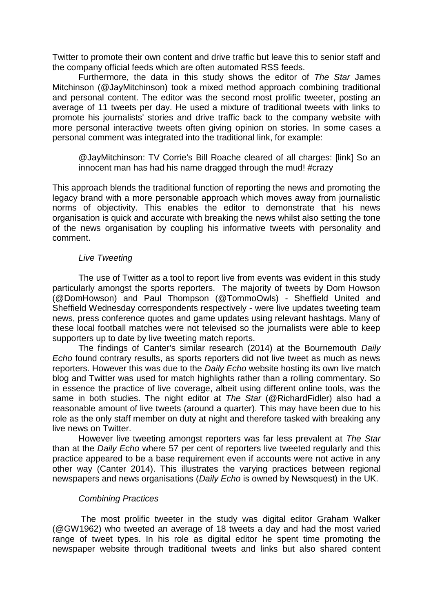Twitter to promote their own content and drive traffic but leave this to senior staff and the company official feeds which are often automated RSS feeds.

Furthermore, the data in this study shows the editor of *The Star* James Mitchinson (@JayMitchinson) took a mixed method approach combining traditional and personal content. The editor was the second most prolific tweeter, posting an average of 11 tweets per day. He used a mixture of traditional tweets with links to promote his journalists' stories and drive traffic back to the company website with more personal interactive tweets often giving opinion on stories. In some cases a personal comment was integrated into the traditional link, for example:

@JayMitchinson: TV Corrie's Bill Roache cleared of all charges: [link] So an innocent man has had his name dragged through the mud! #crazy

This approach blends the traditional function of reporting the news and promoting the legacy brand with a more personable approach which moves away from journalistic norms of objectivity. This enables the editor to demonstrate that his news organisation is quick and accurate with breaking the news whilst also setting the tone of the news organisation by coupling his informative tweets with personality and comment.

#### *Live Tweeting*

The use of Twitter as a tool to report live from events was evident in this study particularly amongst the sports reporters. The majority of tweets by Dom Howson (@DomHowson) and Paul Thompson (@TommoOwls) - Sheffield United and Sheffield Wednesday correspondents respectively - were live updates tweeting team news, press conference quotes and game updates using relevant hashtags. Many of these local football matches were not televised so the journalists were able to keep supporters up to date by live tweeting match reports.

The findings of Canter's similar research (2014) at the Bournemouth *Daily Echo* found contrary results, as sports reporters did not live tweet as much as news reporters. However this was due to the *Daily Echo* website hosting its own live match blog and Twitter was used for match highlights rather than a rolling commentary. So in essence the practice of live coverage, albeit using different online tools, was the same in both studies. The night editor at *The Star* (@RichardFidler) also had a reasonable amount of live tweets (around a quarter). This may have been due to his role as the only staff member on duty at night and therefore tasked with breaking any live news on Twitter.

However live tweeting amongst reporters was far less prevalent at *The Star* than at the *Daily Echo* where 57 per cent of reporters live tweeted regularly and this practice appeared to be a base requirement even if accounts were not active in any other way (Canter 2014). This illustrates the varying practices between regional newspapers and news organisations (*Daily Echo* is owned by Newsquest) in the UK.

#### *Combining Practices*

The most prolific tweeter in the study was digital editor Graham Walker (@GW1962) who tweeted an average of 18 tweets a day and had the most varied range of tweet types. In his role as digital editor he spent time promoting the newspaper website through traditional tweets and links but also shared content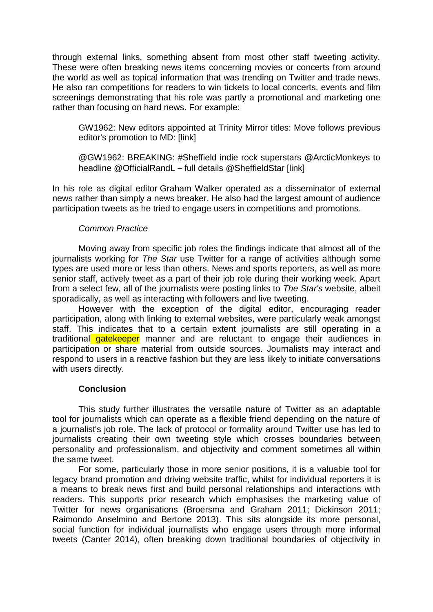through external links, something absent from most other staff tweeting activity. These were often breaking news items concerning movies or concerts from around the world as well as topical information that was trending on Twitter and trade news. He also ran competitions for readers to win tickets to local concerts, events and film screenings demonstrating that his role was partly a promotional and marketing one rather than focusing on hard news. For example:

GW1962: New editors appointed at Trinity Mirror titles: Move follows previous editor's promotion to MD: [link]

@GW1962: BREAKING: #Sheffield indie rock superstars @ArcticMonkeys to headline @OfficialRandL – full details @SheffieldStar [link]

In his role as digital editor Graham Walker operated as a disseminator of external news rather than simply a news breaker. He also had the largest amount of audience participation tweets as he tried to engage users in competitions and promotions.

#### *Common Practice*

Moving away from specific job roles the findings indicate that almost all of the journalists working for *The Star* use Twitter for a range of activities although some types are used more or less than others. News and sports reporters, as well as more senior staff, actively tweet as a part of their job role during their working week. Apart from a select few, all of the journalists were posting links to *The Star's* website, albeit sporadically, as well as interacting with followers and live tweeting.

However with the exception of the digital editor, encouraging reader participation, along with linking to external websites, were particularly weak amongst staff. This indicates that to a certain extent journalists are still operating in a traditional gatekeeper manner and are reluctant to engage their audiences in participation or share material from outside sources. Journalists may interact and respond to users in a reactive fashion but they are less likely to initiate conversations with users directly.

#### **Conclusion**

This study further illustrates the versatile nature of Twitter as an adaptable tool for journalists which can operate as a flexible friend depending on the nature of a journalist's job role. The lack of protocol or formality around Twitter use has led to journalists creating their own tweeting style which crosses boundaries between personality and professionalism, and objectivity and comment sometimes all within the same tweet.

For some, particularly those in more senior positions, it is a valuable tool for legacy brand promotion and driving website traffic, whilst for individual reporters it is a means to break news first and build personal relationships and interactions with readers. This supports prior research which emphasises the marketing value of Twitter for news organisations (Broersma and Graham 2011; Dickinson 2011; Raimondo Anselmino and Bertone 2013). This sits alongside its more personal, social function for individual journalists who engage users through more informal tweets (Canter 2014), often breaking down traditional boundaries of objectivity in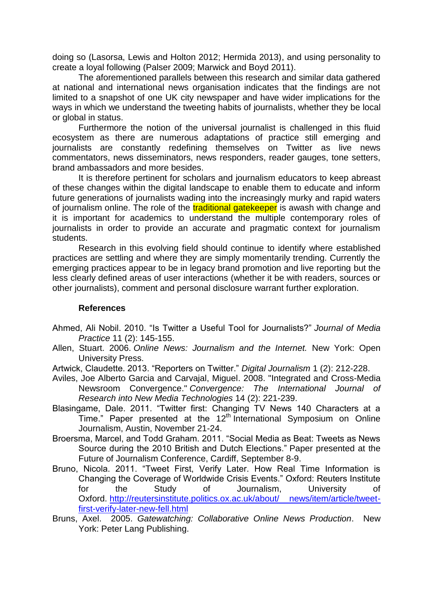doing so (Lasorsa, Lewis and Holton 2012; Hermida 2013), and using personality to create a loyal following (Palser 2009; Marwick and Boyd 2011).

The aforementioned parallels between this research and similar data gathered at national and international news organisation indicates that the findings are not limited to a snapshot of one UK city newspaper and have wider implications for the ways in which we understand the tweeting habits of journalists, whether they be local or global in status.

Furthermore the notion of the universal journalist is challenged in this fluid ecosystem as there are numerous adaptations of practice still emerging and journalists are constantly redefining themselves on Twitter as live news commentators, news disseminators, news responders, reader gauges, tone setters, brand ambassadors and more besides.

It is therefore pertinent for scholars and journalism educators to keep abreast of these changes within the digital landscape to enable them to educate and inform future generations of journalists wading into the increasingly murky and rapid waters of journalism online. The role of the **traditional gatekeeper** is awash with change and it is important for academics to understand the multiple contemporary roles of journalists in order to provide an accurate and pragmatic context for journalism students.

Research in this evolving field should continue to identify where established practices are settling and where they are simply momentarily trending. Currently the emerging practices appear to be in legacy brand promotion and live reporting but the less clearly defined areas of user interactions (whether it be with readers, sources or other journalists), comment and personal disclosure warrant further exploration.

#### **References**

- Ahmed, Ali Nobil. 2010. "Is Twitter a Useful Tool for Journalists?" *Journal of Media Practice* 11 (2): 145-155.
- Allen, Stuart. 2006. *Online News: Journalism and the Internet.* New York: Open University Press.
- Artwick, Claudette. 2013. "Reporters on Twitter." *Digital Journalism* 1 (2): 212-228.
- Aviles, Joe Alberto Garcia and Carvajal, Miguel. 2008. "Integrated and Cross-Media Newsroom Convergence." *Convergence: The International Journal of Research into New Media Technologies* 14 (2): 221-239.
- Blasingame, Dale. 2011. "Twitter first: Changing TV News 140 Characters at a Time." Paper presented at the 12<sup>th</sup> International Symposium on Online Journalism, Austin, November 21-24.
- Broersma, Marcel, and Todd Graham. 2011. "Social Media as Beat: Tweets as News Source during the 2010 British and Dutch Elections." Paper presented at the Future of Journalism Conference, Cardiff, September 8-9.
- Bruno, Nicola. 2011. "Tweet First, Verify Later. How Real Time Information is Changing the Coverage of Worldwide Crisis Events." Oxford: Reuters Institute for the Study of Journalism, University of Oxford. [http://reutersinstitute.politics.ox.ac.uk/about/ news/item/article/tweet](http://reutersinstitute.politics.ox.ac.uk/about/%20news/item/article/tweet-first-verify-later-new-fell.html)[first-verify-later-new-fell.html](http://reutersinstitute.politics.ox.ac.uk/about/%20news/item/article/tweet-first-verify-later-new-fell.html)
- Bruns, Axel. 2005. *Gatewatching: Collaborative Online News Production*. New York: Peter Lang Publishing.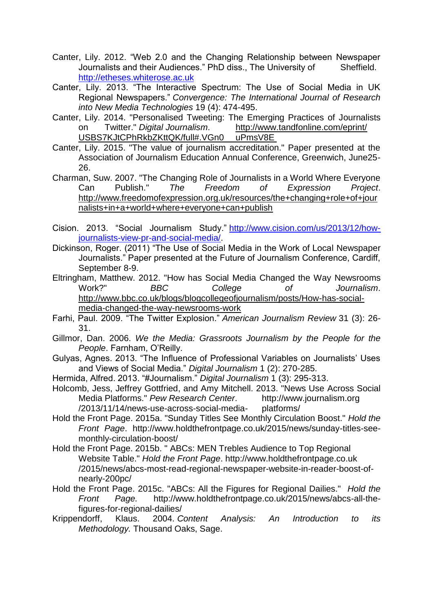- Canter, Lily. 2012. "Web 2.0 and the Changing Relationship between Newspaper Journalists and their Audiences." PhD diss., The University of Sheffield. [http://etheses.whiterose.ac.uk](http://etheses.whiterose.ac.uk/)
- Canter, Lily. 2013. "The Interactive Spectrum: The Use of Social Media in UK Regional Newspapers." *Convergence: The International Journal of Research into New Media Technologies* 19 (4): 474-495.
- Canter, Lily. 2014. "Personalised Tweeting: The Emerging Practices of Journalists on Twitter." *Digital Journalism*. [http://www.tandfonline.com/eprint/](http://www.tandfonline.com/eprint/USBS7KJtCPhRkbZKttQK/full#.VGn0uPmsV8E ) [USBS7KJtCPhRkbZKttQK/full#.VGn0](http://www.tandfonline.com/eprint/USBS7KJtCPhRkbZKttQK/full#.VGn0uPmsV8E ) uPmsV8E
- Canter, Lily. 2015. "The value of journalism accreditation." Paper presented at the Association of Journalism Education Annual Conference, Greenwich, June25- 26.
- Charman, Suw. 2007. "The Changing Role of Journalists in a World Where Everyone Can Publish." *The Freedom of Expression Project*. http://www.freedomofexpression.org.uk/resources/the+changing+role+of+jour nalists+in+a+world+where+everyone+can+publish
- Cision. 2013. "Social Journalism Study." [http://www.cision.com/us/2013/12/how](http://www.cision.com/us/2013/12/how-journalists-view-pr-and-social-media/)[journalists-view-pr-and-social-media/.](http://www.cision.com/us/2013/12/how-journalists-view-pr-and-social-media/)
- Dickinson, Roger. (2011) "The Use of Social Media in the Work of Local Newspaper Journalists." Paper presented at the Future of Journalism Conference, Cardiff, September 8-9.
- Eltringham, Matthew. 2012. "How has Social Media Changed the Way Newsrooms Work?" *BBC College of Journalism*. http://www.bbc.co.uk/blogs/blogcollegeofjournalism/posts/How-has-socialmedia-changed-the-way-newsrooms-work
- Farhi, Paul. 2009. "The Twitter Explosion." *American Journalism Review* 31 (3): 26- 31.
- Gillmor, Dan. 2006. *We the Media: Grassroots Journalism by the People for the People*. Farnham, O'Reilly.
- Gulyas, Agnes. 2013. "The Influence of Professional Variables on Journalists' Uses and Views of Social Media." *Digital Journalism* 1 (2): 270-285.
- Hermida, Alfred. 2013. "#Journalism." *Digital Journalism* 1 (3): 295-313.
- Holcomb, Jess, Jeffrey Gottfried, and Amy Mitchell. 2013. "News Use Across Social Media Platforms." *Pew Research Center*. http://www.journalism.org /2013/11/14/news-use-across-social-media- platforms/
- Hold the Front Page. 2015a. "Sunday Titles See Monthly Circulation Boost." *Hold the Front Page*. http://www.holdthefrontpage.co.uk/2015/news/sunday-titles-seemonthly-circulation-boost/
- Hold the Front Page. 2015b. " ABCs: MEN Trebles Audience to Top Regional Website Table." *Hold the Front Page*. http://www.holdthefrontpage.co.uk /2015/news/abcs-most-read-regional-newspaper-website-in-reader-boost-ofnearly-200pc/
- Hold the Front Page. 2015c. "ABCs: All the Figures for Regional Dailies." *Hold the Front Page.* http://www.holdthefrontpage.co.uk/2015/news/abcs-all-thefigures-for-regional-dailies/
- Krippendorff, Klaus. 2004. *Content Analysis: An Introduction to its Methodology.* Thousand Oaks, Sage.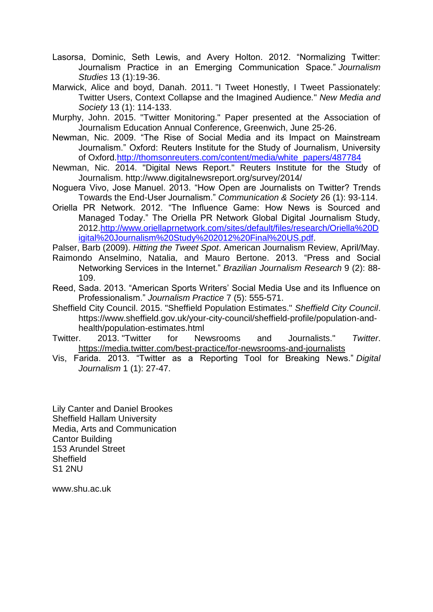- Lasorsa, Dominic, Seth Lewis, and Avery Holton. 2012. "Normalizing Twitter: Journalism Practice in an Emerging Communication Space." *Journalism Studies* 13 (1):19-36.
- Marwick, Alice and boyd, Danah. 2011. "I Tweet Honestly, I Tweet Passionately: Twitter Users, Context Collapse and the Imagined Audience*.*" *New Media and Society* 13 (1): 114-133.
- Murphy, John. 2015. "Twitter Monitoring." Paper presented at the Association of Journalism Education Annual Conference, Greenwich, June 25-26.
- Newman, Nic. 2009. "The Rise of Social Media and its Impact on Mainstream Journalism." Oxford: Reuters Institute for the Study of Journalism, University of Oxford[.http://thomsonreuters.com/content/media/white\\_papers/487784](http://thomsonreuters.com/content/media/white_papers/487784)
- Newman, Nic. 2014. "Digital News Report." Reuters Institute for the Study of Journalism. http://www.digitalnewsreport.org/survey/2014/
- Noguera Vivo, Jose Manuel. 2013. "How Open are Journalists on Twitter? Trends Towards the End-User Journalism." *Communication & Society* 26 (1): 93-114.
- Oriella PR Network. 2012. "The Influence Game: How News is Sourced and Managed Today." The Oriella PR Network Global Digital Journalism Study, 2012[.http://www.oriellaprnetwork.com/sites/default/files/research/Oriella%20D](http://www.oriellaprnetwork.com/sites/default/files/research/Oriella%20Digital%20Journalism%20Study%202012%20Final%20US.pdf) [igital%20Journalism%20Study%202012%20Final%20US.pdf.](http://www.oriellaprnetwork.com/sites/default/files/research/Oriella%20Digital%20Journalism%20Study%202012%20Final%20US.pdf)

Palser, Barb (2009). *Hitting the Tweet Spot*. American Journalism Review, April/May.

- Raimondo Anselmino, Natalia, and Mauro Bertone. 2013. "Press and Social Networking Services in the Internet." *Brazilian Journalism Research* 9 (2): 88- 109.
- Reed, Sada. 2013. "American Sports Writers' Social Media Use and its Influence on Professionalism." *Journalism Practice* 7 (5): 555-571.
- Sheffield City Council. 2015. "Sheffield Population Estimates." *Sheffield City Council*. https://www.sheffield.gov.uk/your-city-council/sheffield-profile/population-andhealth/population-estimates.html
- Twitter. 2013. "Twitter for Newsrooms and Journalists." *Twitter*. https://media.twitter.com/best-practice/for-newsrooms-and-journalists
- Vis, Farida. 2013. "Twitter as a Reporting Tool for Breaking News." *Digital Journalism* 1 (1): 27-47.

Lily Canter and Daniel Brookes Sheffield Hallam University Media, Arts and Communication Cantor Building 153 Arundel Street **Sheffield** S1 2NU

www.shu.ac.uk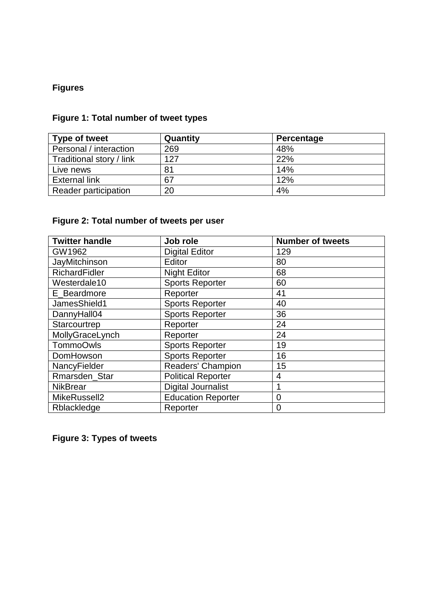# **Figures**

# **Figure 1: Total number of tweet types**

| Type of tweet            | Quantity | Percentage |
|--------------------------|----------|------------|
| Personal / interaction   | 269      | 48%        |
| Traditional story / link | 127      | 22%        |
| Live news                | 81       | 14%        |
| External link            | 67       | 12%        |
| Reader participation     | 20       | 4%         |

# **Figure 2: Total number of tweets per user**

| <b>Twitter handle</b> | Job role                  | <b>Number of tweets</b> |
|-----------------------|---------------------------|-------------------------|
| GW1962                | <b>Digital Editor</b>     | 129                     |
| JayMitchinson         | Editor                    | 80                      |
| RichardFidler         | <b>Night Editor</b>       | 68                      |
| Westerdale10          | <b>Sports Reporter</b>    | 60                      |
| E Beardmore           | Reporter                  | 41                      |
| JamesShield1          | <b>Sports Reporter</b>    | 40                      |
| DannyHall04           | <b>Sports Reporter</b>    | 36                      |
| Starcourtrep          | Reporter                  | 24                      |
| MollyGraceLynch       | Reporter                  | 24                      |
| <b>TommoOwls</b>      | <b>Sports Reporter</b>    | 19                      |
| DomHowson             | <b>Sports Reporter</b>    | 16                      |
| NancyFielder          | Readers' Champion         | 15                      |
| Rmarsden Star         | <b>Political Reporter</b> | 4                       |
| <b>NikBrear</b>       | <b>Digital Journalist</b> |                         |
| MikeRussell2          | <b>Education Reporter</b> | 0                       |
| Rblackledge           | Reporter                  | 0                       |

**Figure 3: Types of tweets**